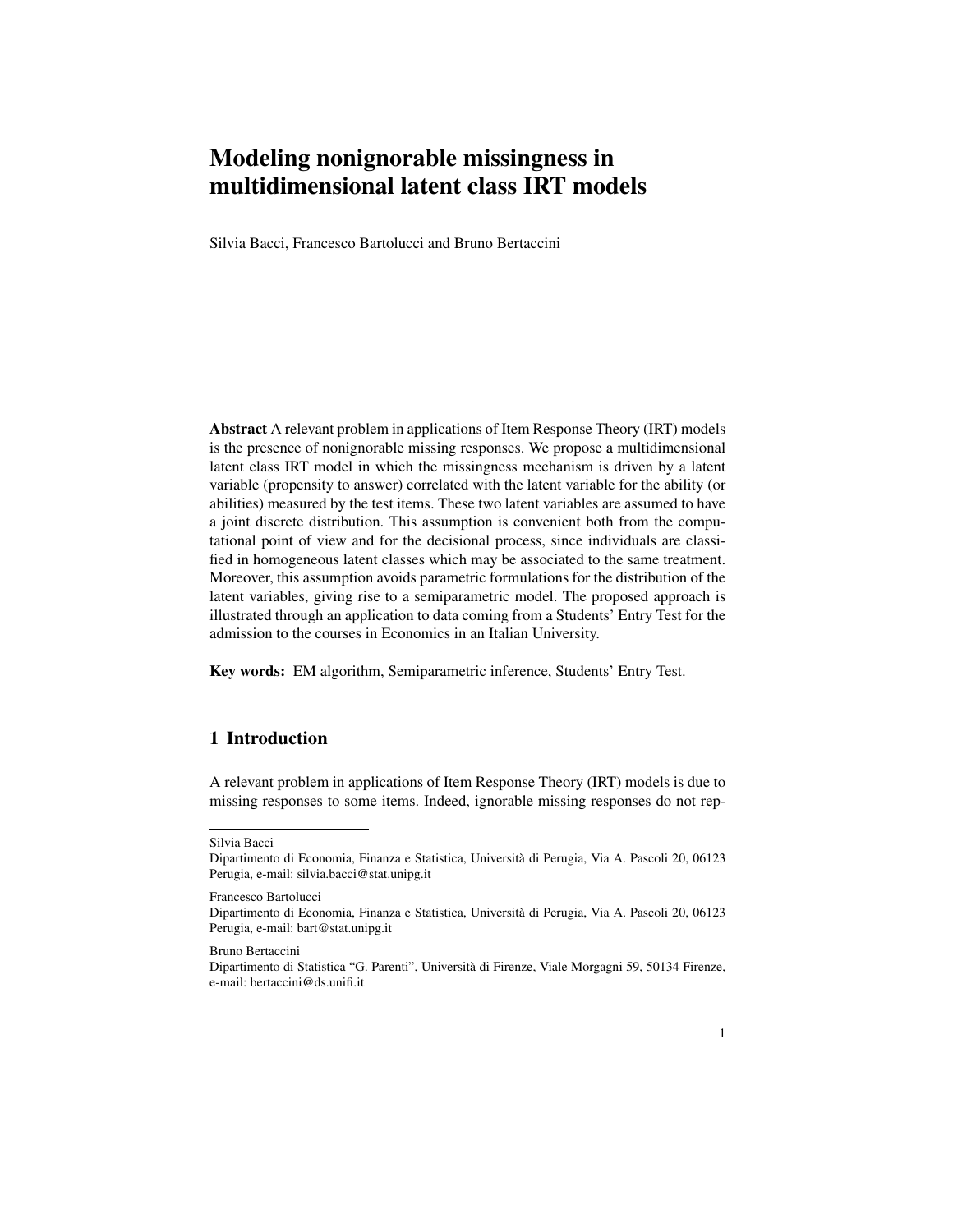# Modeling nonignorable missingness in multidimensional latent class IRT models

Silvia Bacci, Francesco Bartolucci and Bruno Bertaccini

Abstract A relevant problem in applications of Item Response Theory (IRT) models is the presence of nonignorable missing responses. We propose a multidimensional latent class IRT model in which the missingness mechanism is driven by a latent variable (propensity to answer) correlated with the latent variable for the ability (or abilities) measured by the test items. These two latent variables are assumed to have a joint discrete distribution. This assumption is convenient both from the computational point of view and for the decisional process, since individuals are classified in homogeneous latent classes which may be associated to the same treatment. Moreover, this assumption avoids parametric formulations for the distribution of the latent variables, giving rise to a semiparametric model. The proposed approach is illustrated through an application to data coming from a Students' Entry Test for the admission to the courses in Economics in an Italian University.

Key words: EM algorithm, Semiparametric inference, Students' Entry Test.

## 1 Introduction

A relevant problem in applications of Item Response Theory (IRT) models is due to missing responses to some items. Indeed, ignorable missing responses do not rep-

Francesco Bartolucci

Silvia Bacci

Dipartimento di Economia, Finanza e Statistica, Universita di Perugia, Via A. Pascoli 20, 06123 ` Perugia, e-mail: silvia.bacci@stat.unipg.it

Dipartimento di Economia, Finanza e Statistica, Universita di Perugia, Via A. Pascoli 20, 06123 ` Perugia, e-mail: bart@stat.unipg.it

Bruno Bertaccini

Dipartimento di Statistica "G. Parenti", Universita di Firenze, Viale Morgagni 59, 50134 Firenze, ` e-mail: bertaccini@ds.unifi.it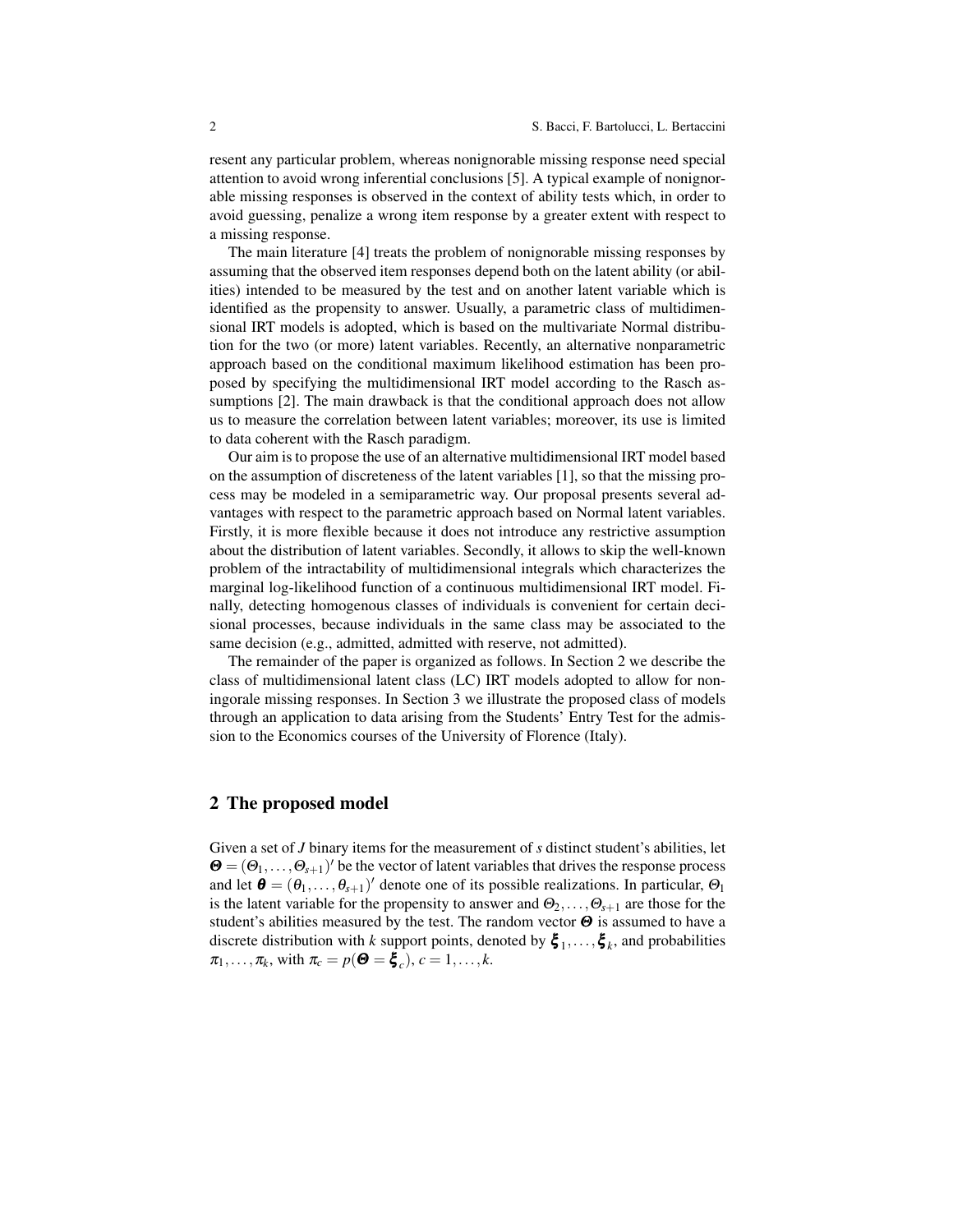resent any particular problem, whereas nonignorable missing response need special attention to avoid wrong inferential conclusions [5]. A typical example of nonignorable missing responses is observed in the context of ability tests which, in order to avoid guessing, penalize a wrong item response by a greater extent with respect to a missing response.

The main literature [4] treats the problem of nonignorable missing responses by assuming that the observed item responses depend both on the latent ability (or abilities) intended to be measured by the test and on another latent variable which is identified as the propensity to answer. Usually, a parametric class of multidimensional IRT models is adopted, which is based on the multivariate Normal distribution for the two (or more) latent variables. Recently, an alternative nonparametric approach based on the conditional maximum likelihood estimation has been proposed by specifying the multidimensional IRT model according to the Rasch assumptions [2]. The main drawback is that the conditional approach does not allow us to measure the correlation between latent variables; moreover, its use is limited to data coherent with the Rasch paradigm.

Our aim is to propose the use of an alternative multidimensional IRT model based on the assumption of discreteness of the latent variables [1], so that the missing process may be modeled in a semiparametric way. Our proposal presents several advantages with respect to the parametric approach based on Normal latent variables. Firstly, it is more flexible because it does not introduce any restrictive assumption about the distribution of latent variables. Secondly, it allows to skip the well-known problem of the intractability of multidimensional integrals which characterizes the marginal log-likelihood function of a continuous multidimensional IRT model. Finally, detecting homogenous classes of individuals is convenient for certain decisional processes, because individuals in the same class may be associated to the same decision (e.g., admitted, admitted with reserve, not admitted).

The remainder of the paper is organized as follows. In Section 2 we describe the class of multidimensional latent class (LC) IRT models adopted to allow for noningorale missing responses. In Section 3 we illustrate the proposed class of models through an application to data arising from the Students' Entry Test for the admission to the Economics courses of the University of Florence (Italy).

## 2 The proposed model

Given a set of *J* binary items for the measurement of *s* distinct student's abilities, let  $\mathbf{\Theta} = (\Theta_1, \dots, \Theta_{s+1})'$  be the vector of latent variables that drives the response process and let  $\boldsymbol{\theta} = (\theta_1, \dots, \theta_{s+1})'$  denote one of its possible realizations. In particular,  $\Theta_1$ is the latent variable for the propensity to answer and  $\Theta_2, \ldots, \Theta_{s+1}$  are those for the student's abilities measured by the test. The random vector  $\Theta$  is assumed to have a discrete distribution with *k* support points, denoted by  $\xi_1, \dots, \xi_k$ , and probabilities  $\pi_1, \ldots, \pi_k$ , with  $\pi_c = p(\mathbf{\Theta} = \mathbf{\xi}_c)$ ,  $c = 1, \ldots, k$ .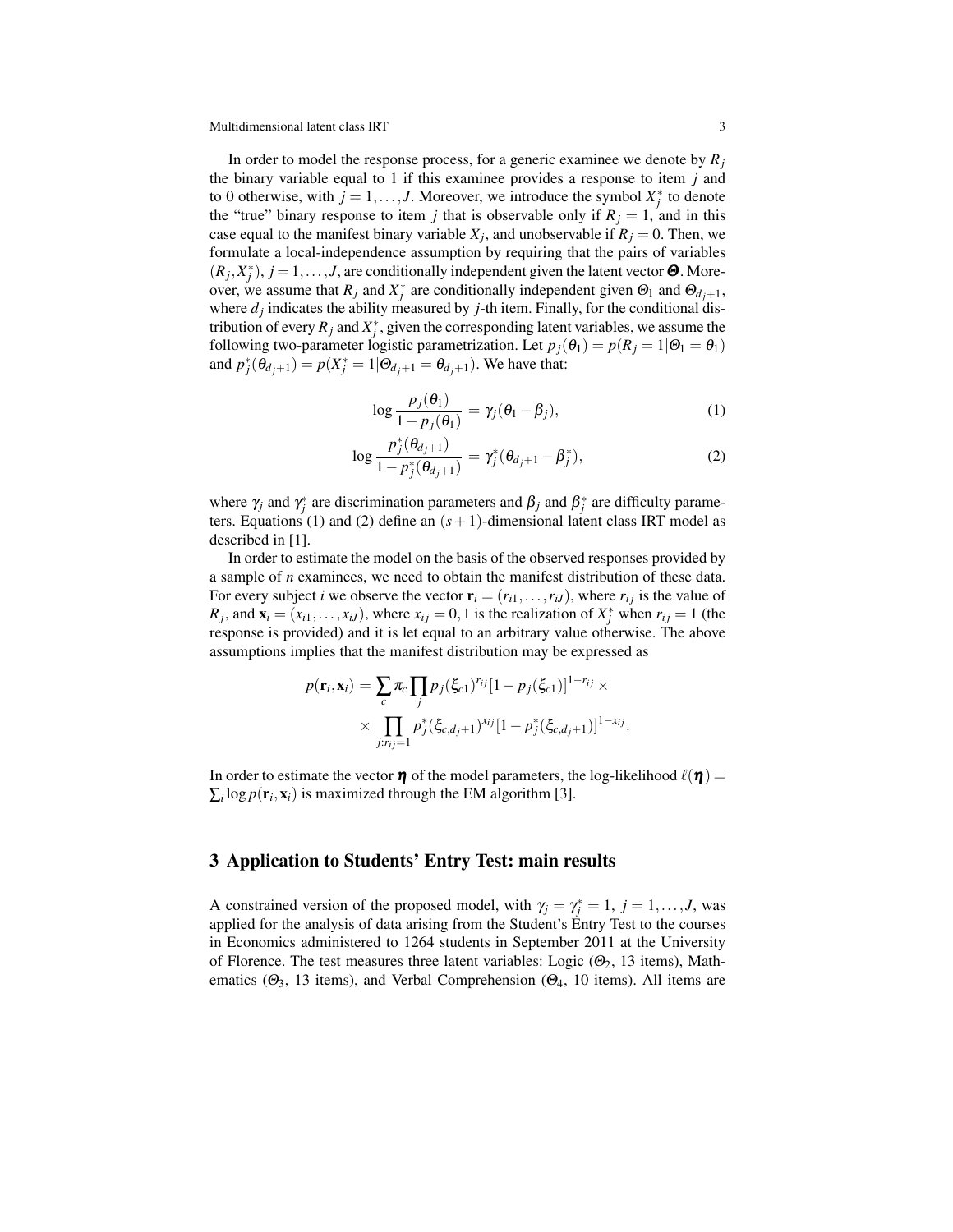Multidimensional latent class IRT 3

In order to model the response process, for a generic examinee we denote by  $R_i$ the binary variable equal to 1 if this examinee provides a response to item *j* and to 0 otherwise, with  $j = 1, \ldots, J$ . Moreover, we introduce the symbol  $X_j^*$  to denote the "true" binary response to item *j* that is observable only if  $R<sub>j</sub> = 1$ , and in this case equal to the manifest binary variable  $X_j$ , and unobservable if  $R_j = 0$ . Then, we formulate a local-independence assumption by requiring that the pairs of variables  $(R_j, X_j^*)$ ,  $j = 1, \ldots, J$ , are conditionally independent given the latent vector  $\Theta$ . Moreover, we assume that  $R_j$  and  $X_j^*$  are conditionally independent given  $\Theta_1$  and  $\Theta_{d_j+1}$ , where  $d_j$  indicates the ability measured by  $j$ -th item. Finally, for the conditional distribution of every  $R_j$  and  $X_j^*$ , given the corresponding latent variables, we assume the following two-parameter logistic parametrization. Let  $p_j(\theta_1) = p(R_j = 1 | \theta_1 = \theta_1)$ and  $p_j^*(\theta_{d_j+1}) = p(X_j^* = 1 | \Theta_{d_j+1} = \theta_{d_j+1})$ . We have that:

$$
\log \frac{p_j(\theta_1)}{1 - p_j(\theta_1)} = \gamma_j(\theta_1 - \beta_j), \tag{1}
$$

$$
\log \frac{p_j^*(\theta_{d_j+1})}{1-p_j^*(\theta_{d_j+1})} = \gamma_j^*(\theta_{d_j+1} - \beta_j^*),
$$
\n(2)

where  $\gamma_j$  and  $\gamma_j^*$  are discrimination parameters and  $\beta_j$  and  $\beta_j^*$  are difficulty parameters. Equations (1) and (2) define an  $(s + 1)$ -dimensional latent class IRT model as described in [1].

In order to estimate the model on the basis of the observed responses provided by a sample of *n* examinees, we need to obtain the manifest distribution of these data. For every subject *i* we observe the vector  $\mathbf{r}_i = (r_{i1}, \dots, r_{iJ})$ , where  $r_{ij}$  is the value of *R*<sub>*j*</sub>, and  $\mathbf{x}_i = (x_{i1},...,x_{iJ})$ , where  $x_{ij} = 0, 1$  is the realization of  $X_j^*$  when  $r_{ij} = 1$  (the response is provided) and it is let equal to an arbitrary value otherwise. The above assumptions implies that the manifest distribution may be expressed as

$$
p(\mathbf{r}_i, \mathbf{x}_i) = \sum_{c} \pi_c \prod_{j} p_j (\xi_{c1})^{r_{ij}} [1 - p_j(\xi_{c1})]^{1 - r_{ij}} \times \\ \times \prod_{j: r_{ij} = 1} p_j^* (\xi_{c,d_j+1})^{x_{ij}} [1 - p_j^* (\xi_{c,d_j+1})]^{1 - x_{ij}}.
$$

In order to estimate the vector  $\eta$  of the model parameters, the log-likelihood  $\ell(\eta)$  =  $\sum_i \log p(\mathbf{r}_i, \mathbf{x}_i)$  is maximized through the EM algorithm [3].

#### 3 Application to Students' Entry Test: main results

A constrained version of the proposed model, with  $\gamma_j = \gamma_j^* = 1, j = 1, \ldots, J$ , was applied for the analysis of data arising from the Student's Entry Test to the courses in Economics administered to 1264 students in September 2011 at the University of Florence. The test measures three latent variables: Logic  $(\Theta_2, 13$  items), Mathematics ( $\Theta_3$ , 13 items), and Verbal Comprehension ( $\Theta_4$ , 10 items). All items are